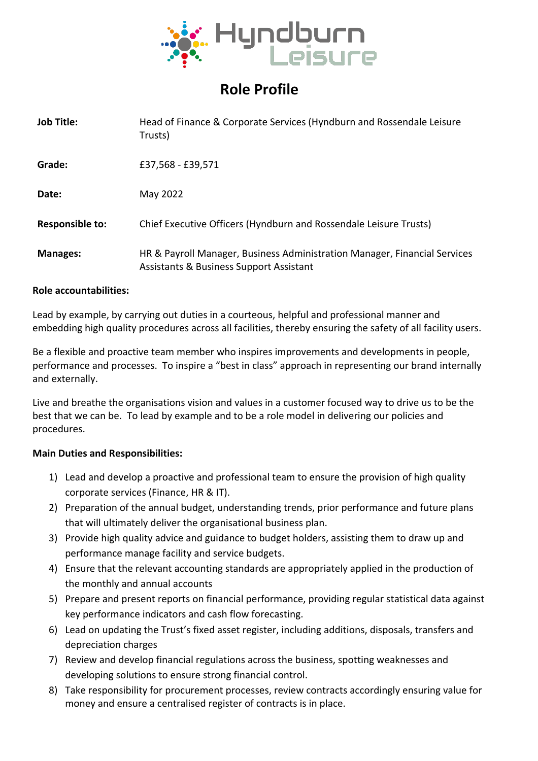

# **Role Profile**

| <b>Job Title:</b>      | Head of Finance & Corporate Services (Hyndburn and Rossendale Leisure<br>Trusts)                                                |
|------------------------|---------------------------------------------------------------------------------------------------------------------------------|
| Grade:                 | £37,568 - £39,571                                                                                                               |
| Date:                  | May 2022                                                                                                                        |
| <b>Responsible to:</b> | Chief Executive Officers (Hyndburn and Rossendale Leisure Trusts)                                                               |
| <b>Manages:</b>        | HR & Payroll Manager, Business Administration Manager, Financial Services<br><b>Assistants &amp; Business Support Assistant</b> |

### **Role accountabilities:**

Lead by example, by carrying out duties in a courteous, helpful and professional manner and embedding high quality procedures across all facilities, thereby ensuring the safety of all facility users.

Be a flexible and proactive team member who inspires improvements and developments in people, performance and processes. To inspire a "best in class" approach in representing our brand internally and externally.

Live and breathe the organisations vision and values in a customer focused way to drive us to be the best that we can be. To lead by example and to be a role model in delivering our policies and procedures.

### **Main Duties and Responsibilities:**

- 1) Lead and develop a proactive and professional team to ensure the provision of high quality corporate services (Finance, HR & IT).
- 2) Preparation of the annual budget, understanding trends, prior performance and future plans that will ultimately deliver the organisational business plan.
- 3) Provide high quality advice and guidance to budget holders, assisting them to draw up and performance manage facility and service budgets.
- 4) Ensure that the relevant accounting standards are appropriately applied in the production of the monthly and annual accounts
- 5) Prepare and present reports on financial performance, providing regular statistical data against key performance indicators and cash flow forecasting.
- 6) Lead on updating the Trust's fixed asset register, including additions, disposals, transfers and depreciation charges
- 7) Review and develop financial regulations across the business, spotting weaknesses and developing solutions to ensure strong financial control.
- 8) Take responsibility for procurement processes, review contracts accordingly ensuring value for money and ensure a centralised register of contracts is in place.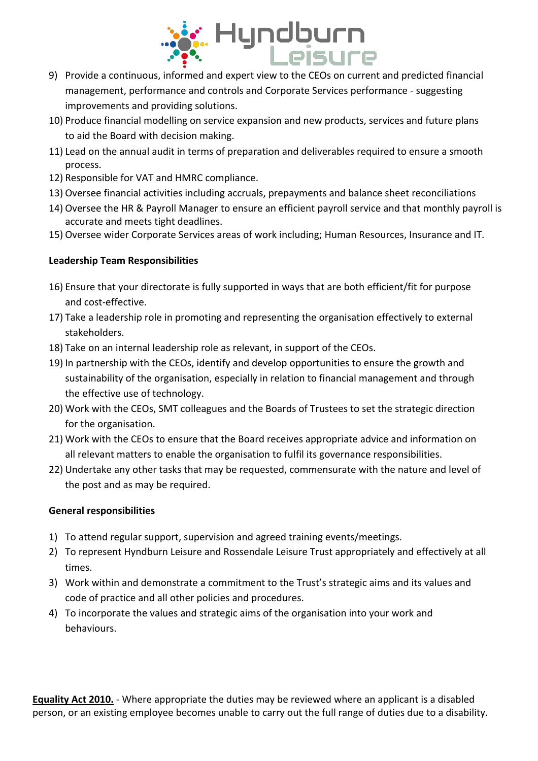

- management, performance and controls and Corporate Services performance suggesting improvements and providing solutions.
- 10) Produce financial modelling on service expansion and new products, services and future plans to aid the Board with decision making.
- 11) Lead on the annual audit in terms of preparation and deliverables required to ensure a smooth process.
- 12) Responsible for VAT and HMRC compliance.
- 13) Oversee financial activities including accruals, prepayments and balance sheet reconciliations
- 14) Oversee the HR & Payroll Manager to ensure an efficient payroll service and that monthly payroll is accurate and meets tight deadlines.
- 15) Oversee wider Corporate Services areas of work including; Human Resources, Insurance and IT.

# **Leadership Team Responsibilities**

- 16) Ensure that your directorate is fully supported in ways that are both efficient/fit for purpose and cost-effective.
- 17) Take a leadership role in promoting and representing the organisation effectively to external stakeholders.
- 18) Take on an internal leadership role as relevant, in support of the CEOs.
- 19) In partnership with the CEOs, identify and develop opportunities to ensure the growth and sustainability of the organisation, especially in relation to financial management and through the effective use of technology.
- 20) Work with the CEOs, SMT colleagues and the Boards of Trustees to set the strategic direction for the organisation.
- 21) Work with the CEOs to ensure that the Board receives appropriate advice and information on all relevant matters to enable the organisation to fulfil its governance responsibilities.
- 22) Undertake any other tasks that may be requested, commensurate with the nature and level of the post and as may be required.

## **General responsibilities**

- 1) To attend regular support, supervision and agreed training events/meetings.
- 2) To represent Hyndburn Leisure and Rossendale Leisure Trust appropriately and effectively at all times.
- 3) Work within and demonstrate a commitment to the Trust's strategic aims and its values and code of practice and all other policies and procedures.
- 4) To incorporate the values and strategic aims of the organisation into your work and behaviours.

**Equality Act 2010.** - Where appropriate the duties may be reviewed where an applicant is a disabled person, or an existing employee becomes unable to carry out the full range of duties due to a disability.